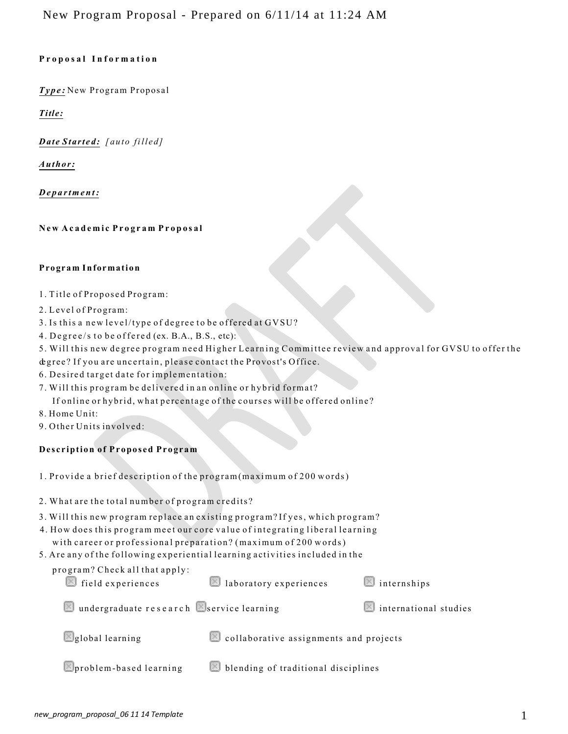## **Proposa l Informatio n**

*Type:* New Program Proposal

*Title:*

*Date Started: [auto filled]*

*Author:*

*Department :*

**N ew Academic Program Proposa l**

### **Program Information**

- 1. Title of Proposed Program:
- 2. Level of Program:
- 3. Is this a new level/type of degree to be offered at GVSU?
- 4. Degree/s to be offered (ex. B.A., B.S., etc):
- 5. Will this new degree program need Higher Learning Committee review and approval for GVSU to offer the
- degree? If you are uncertain, please contact the Provost's Office.
- 6. Desired target date for implementation:
- 7. Will this program be delivered in an online or hybrid format?

If online or hybrid, what percentage of the courses will be offered online?

- 8. Home Unit:
- 9. Other Units involved:

# **Description of Proposed Program**

- 1. Provide a brief description of the program (maximum of 200 words)
- 2. What are the total number of program credits?
- 3. Will this new program replace an existing program? If yes, which program?
- 4. How does this program meet our core value of integrating liberal learning with career or professional preparation? (maximum of 200 words)
- 5. Are a ny of the following experiential learning activities include d in the

| program? Check all that apply:<br>$\blacksquare$ field experiences | laboratory experiences                 | $\Box$ internships                   |
|--------------------------------------------------------------------|----------------------------------------|--------------------------------------|
| undergraduate research Service learning                            |                                        | $\blacksquare$ international studies |
| global learning                                                    | collaborative assignments and projects |                                      |
| problem-based learning                                             | blending of traditional disciplines    |                                      |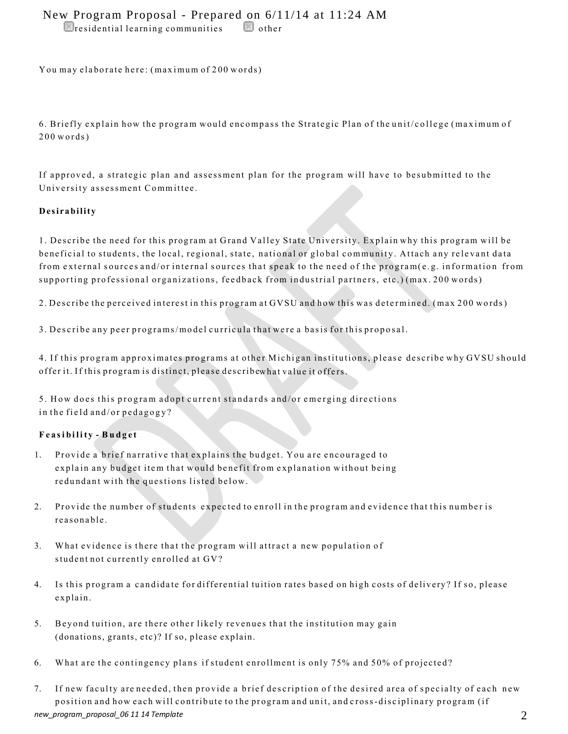# New Program Proposal - Prepared on 6/11/14 at 11:24 AM

 $\blacksquare$ residential learning communities  $\blacksquare$  other

You may elaborate here: (maximum of 200 words)

6. Briefly explain how the program would encompass the Strategic Plan of the unit/college (maximum of  $200 words$ )

If approved, a strategic plan and assessment plan for the program will have to be submitted to the University assessment Committee.

### **Desirability**

1. Describe the need for this program at Grand Valley State University. Explain why this program will be beneficial to students, the local, regional, state, national or global community. Attach any relevant data from external sources and/or internal sources that speak to the need of the program(e.g. information from supporting professional organizations, feedback from industrial partners, etc.) (max. 200 words)

2. Describe the perceived interest in this program at GVSU and how this was determined. (max 200 words)

3. Describe any peer programs/model curricula that were a basis for this proposal.

4. If this program approximates programs at other Michigan institutions, please describe why GVSU should offer it. If this program is distinct, please describewhat value it offers.

5. How does this program adopt current standards and/or emerging directions in the field and/or pedagogy?

### **Feasibilit y - Budget**

- 1. Provide a brief narrative that explains the budget. You are encouraged to explain any budget item that would benefit from explanation without being redundant with the questions listed below.
- 2. Provide the number of students expected to enroll in the program and evidence that this number is reasonable.
- 3. What evidence is there that the program will attract a new population of student not currently enrolled at GV?
- 4. Is this program a candidate for differential tuition rates based on high costs of delivery? If so, please explain.
- 5. Beyond tuition, are there other likely revenues that the institution may gain (donations, grants, etc)? If so, please explain.
- 6. What are the contingency plans if student enrollment is only 75% and 50% of projected?
- *new\_program\_proposal\_06 11 14 Template* 2 7. If new faculty are needed, then provide a brief description of the desired area of specialty of each new position and how each will contribute to the program and unit, and cross-disciplinary program (if